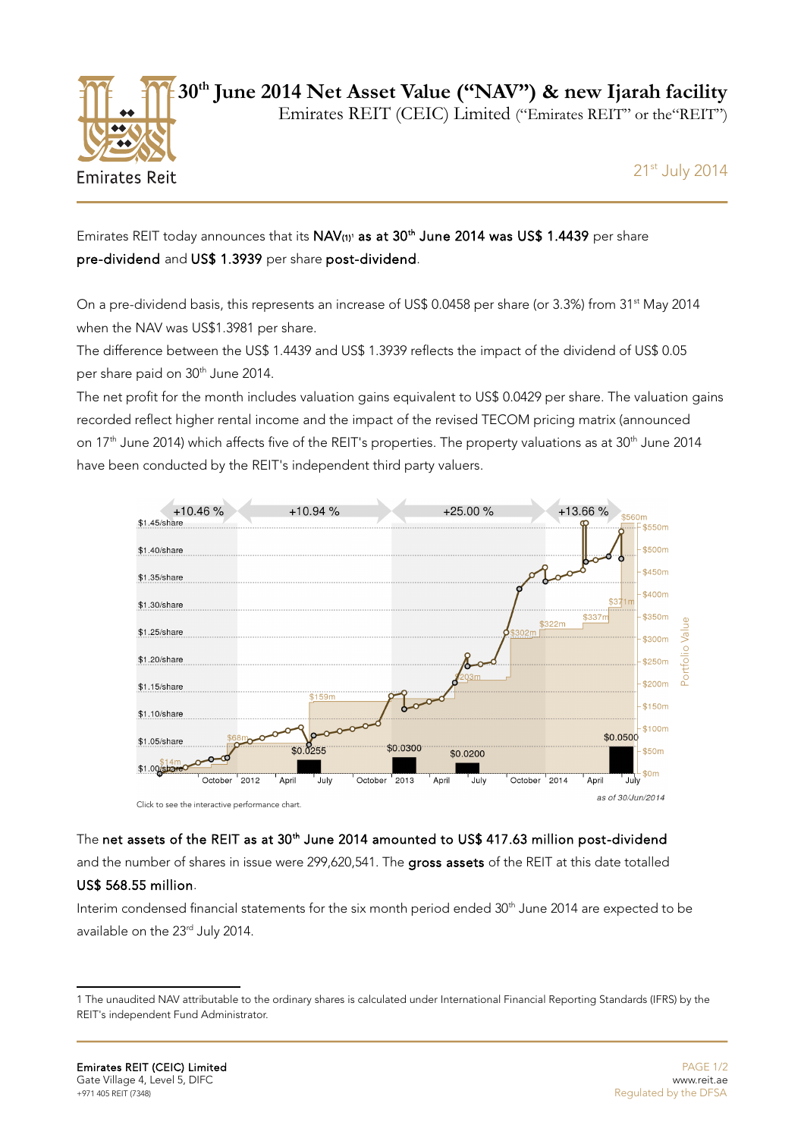

**30th June 2014 Net Asset Value ("NAV") & new Ijarah facility**

Emirates REIT (CEIC) Limited ("Emirates REIT" or the"REIT")

21st July 2014

## EmiratesREIT today announces that its  $NAV_{(1)}$ <sup>t</sup> as at  $30<sup>th</sup>$  June 2014 was US\$ 1.4439 per share pre-dividend and US\$ 1.3939 per share post-dividend.

On a pre-dividend basis, this represents an increase of US\$ 0.0458 per share (or 3.3%) from 31<sup>st</sup> May 2014 when the NAV was US\$1.3981 per share.

The difference between the US\$ 1.4439 and US\$ 1.3939 reflects the impact of the dividend of US\$ 0.05 per share paid on 30<sup>th</sup> June 2014.

The net profit for the month includes valuation gains equivalent to US\$ 0.0429 per share. The valuation gains recorded reflect higher rental income and the impact of the revised TECOM pricing matrix (announced on 17<sup>th</sup> June 2014) which affects five of the REIT's properties. The property valuations as at  $30<sup>th</sup>$  June 2014 have been conducted by the REIT's independent third party valuers.



The net assets of the REIT as at 30<sup>th</sup> June 2014 amounted to US\$ 417.63 million post-dividend

and the number of shares in issue were 299,620,541. The gross assets of the REIT at this date totalled

### US\$ 568.55 million.

Interim condensed financial statements for the six month period ended 30<sup>th</sup> June 2014 are expected to be available on the 23<sup>rd</sup> July 2014.

<span id="page-0-0"></span><sup>1</sup> The unaudited NAV attributable to the ordinary shares is calculated under International Financial Reporting Standards (IFRS) by the REIT's independent Fund Administrator.